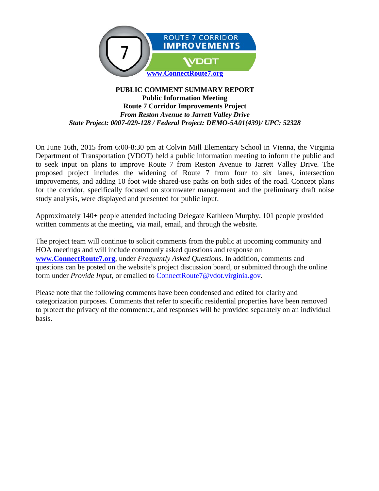

#### **PUBLIC COMMENT SUMMARY REPORT Public Information Meeting Route 7 Corridor Improvements Project** *From Reston Avenue to Jarrett Valley Drive State Project: 0007-029-128 / Federal Project: DEMO-5A01(439)/ UPC: 52328*

On June 16th, 2015 from 6:00-8:30 pm at Colvin Mill Elementary School in Vienna, the Virginia Department of Transportation (VDOT) held a public information meeting to inform the public and to seek input on plans to improve Route 7 from Reston Avenue to Jarrett Valley Drive. The proposed project includes the widening of Route 7 from four to six lanes, intersection improvements, and adding 10 foot wide shared-use paths on both sides of the road. Concept plans for the corridor, specifically focused on stormwater management and the preliminary draft noise study analysis, were displayed and presented for public input.

Approximately 140+ people attended including Delegate Kathleen Murphy. 101 people provided written comments at the meeting, via mail, email, and through the website.

The project team will continue to solicit comments from the public at upcoming community and HOA meetings and will include commonly asked questions and response on **[www.ConnectRoute7.org](http://www.connectroute7.org/)**, under *Frequently Asked Questions*. In addition, comments and questions can be posted on the website's project discussion board, or submitted through the online form under *Provide Input*, or emailed to **ConnectRoute**7@vdot.virginia.gov.

Please note that the following comments have been condensed and edited for clarity and categorization purposes. Comments that refer to specific residential properties have been removed to protect the privacy of the commenter, and responses will be provided separately on an individual basis.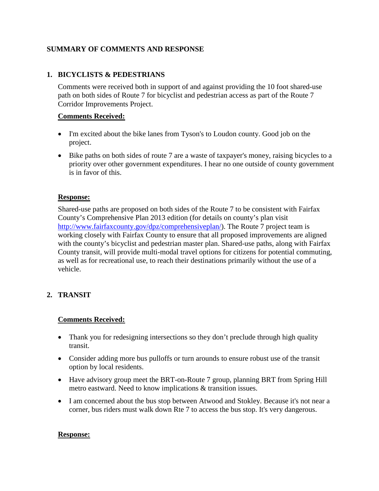# **SUMMARY OF COMMENTS AND RESPONSE**

# **1. BICYCLISTS & PEDESTRIANS**

Comments were received both in support of and against providing the 10 foot shared-use path on both sides of Route 7 for bicyclist and pedestrian access as part of the Route 7 Corridor Improvements Project.

#### **Comments Received:**

- I'm excited about the bike lanes from Tyson's to Loudon county. Good job on the project.
- Bike paths on both sides of route 7 are a waste of taxpayer's money, raising bicycles to a priority over other government expenditures. I hear no one outside of county government is in favor of this.

#### **Response:**

Shared-use paths are proposed on both sides of the Route 7 to be consistent with Fairfax County's Comprehensive Plan 2013 edition (for details on county's plan visit [http://www.fairfaxcounty.gov/dpz/comprehensiveplan/\)](http://www.fairfaxcounty.gov/dpz/comprehensiveplan/). The Route 7 project team is working closely with Fairfax County to ensure that all proposed improvements are aligned with the county's bicyclist and pedestrian master plan. Shared-use paths, along with Fairfax County transit, will provide multi-modal travel options for citizens for potential commuting, as well as for recreational use, to reach their destinations primarily without the use of a vehicle.

# **2. TRANSIT**

# **Comments Received:**

- Thank you for redesigning intersections so they don't preclude through high quality transit.
- Consider adding more bus pulloffs or turn arounds to ensure robust use of the transit option by local residents.
- Have advisory group meet the BRT-on-Route 7 group, planning BRT from Spring Hill metro eastward. Need to know implications & transition issues.
- I am concerned about the bus stop between Atwood and Stokley. Because it's not near a corner, bus riders must walk down Rte 7 to access the bus stop. It's very dangerous.

#### **Response:**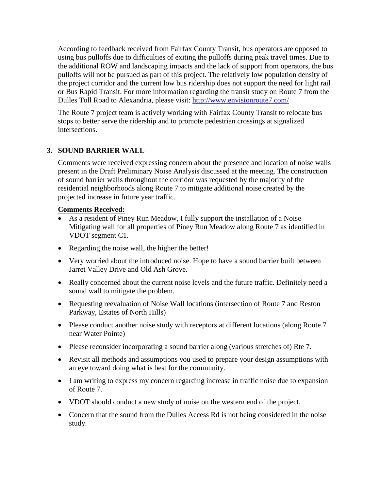According to feedback received from Fairfax County Transit, bus operators are opposed to using bus pulloffs due to difficulties of exiting the pulloffs during peak travel times. Due to the additional ROW and landscaping impacts and the lack of support from operators, the bus pulloffs will not be pursued as part of this project. The relatively low population density of the project corridor and the current low bus ridership does not support the need for light rail or Bus Rapid Transit. For more information regarding the transit study on Route 7 from the Dulles Toll Road to Alexandria, please visit:<http://www.envisionroute7.com/>

The Route 7 project team is actively working with Fairfax County Transit to relocate bus stops to better serve the ridership and to promote pedestrian crossings at signalized intersections.

# **3. SOUND BARRIER WALL**

Comments were received expressing concern about the presence and location of noise walls present in the Draft Preliminary Noise Analysis discussed at the meeting. The construction of sound barrier walls throughout the corridor was requested by the majority of the residential neighborhoods along Route 7 to mitigate additional noise created by the projected increase in future year traffic.

# **Comments Received:**

- As a resident of Piney Run Meadow, I fully support the installation of a Noise Mitigating wall for all properties of Piney Run Meadow along Route 7 as identified in VDOT segment C1.
- Regarding the noise wall, the higher the better!
- Very worried about the introduced noise. Hope to have a sound barrier built between Jarret Valley Drive and Old Ash Grove.
- Really concerned about the current noise levels and the future traffic. Definitely need a sound wall to mitigate the problem.
- Requesting reevaluation of Noise Wall locations (intersection of Route 7 and Reston Parkway, Estates of North Hills)
- Please conduct another noise study with receptors at different locations (along Route 7 near Water Pointe)
- Please reconsider incorporating a sound barrier along (various stretches of) Rte 7.
- Revisit all methods and assumptions you used to prepare your design assumptions with an eye toward doing what is best for the community.
- I am writing to express my concern regarding increase in traffic noise due to expansion of Route 7.
- VDOT should conduct a new study of noise on the western end of the project.
- Concern that the sound from the Dulles Access Rd is not being considered in the noise study.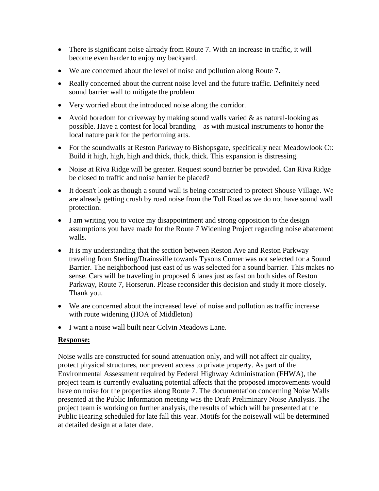- There is significant noise already from Route 7. With an increase in traffic, it will become even harder to enjoy my backyard.
- We are concerned about the level of noise and pollution along Route 7.
- Really concerned about the current noise level and the future traffic. Definitely need sound barrier wall to mitigate the problem
- Very worried about the introduced noise along the corridor.
- Avoid boredom for driveway by making sound walls varied & as natural-looking as possible. Have a contest for local branding – as with musical instruments to honor the local nature park for the performing arts.
- For the soundwalls at Reston Parkway to Bishopsgate, specifically near Meadowlook Ct: Build it high, high, high and thick, thick, thick. This expansion is distressing.
- Noise at Riva Ridge will be greater. Request sound barrier be provided. Can Riva Ridge be closed to traffic and noise barrier be placed?
- It doesn't look as though a sound wall is being constructed to protect Shouse Village. We are already getting crush by road noise from the Toll Road as we do not have sound wall protection.
- I am writing you to voice my disappointment and strong opposition to the design assumptions you have made for the Route 7 Widening Project regarding noise abatement walls.
- It is my understanding that the section between Reston Ave and Reston Parkway traveling from Sterling/Drainsville towards Tysons Corner was not selected for a Sound Barrier. The neighborhood just east of us was selected for a sound barrier. This makes no sense. Cars will be traveling in proposed 6 lanes just as fast on both sides of Reston Parkway, Route 7, Horserun. Please reconsider this decision and study it more closely. Thank you.
- We are concerned about the increased level of noise and pollution as traffic increase with route widening (HOA of Middleton)
- I want a noise wall built near Colvin Meadows Lane.

Noise walls are constructed for sound attenuation only, and will not affect air quality, protect physical structures, nor prevent access to private property. As part of the Environmental Assessment required by Federal Highway Administration (FHWA), the project team is currently evaluating potential affects that the proposed improvements would have on noise for the properties along Route 7. The documentation concerning Noise Walls presented at the Public Information meeting was the Draft Preliminary Noise Analysis. The project team is working on further analysis, the results of which will be presented at the Public Hearing scheduled for late fall this year. Motifs for the noisewall will be determined at detailed design at a later date.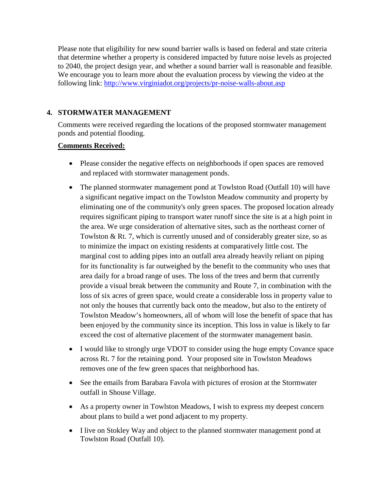Please note that eligibility for new sound barrier walls is based on federal and state criteria that determine whether a property is considered impacted by future noise levels as projected to 2040, the project design year, and whether a sound barrier wall is reasonable and feasible. We encourage you to learn more about the evaluation process by viewing the video at the following link:<http://www.virginiadot.org/projects/pr-noise-walls-about.asp>

# **4. STORMWATER MANAGEMENT**

Comments were received regarding the locations of the proposed stormwater management ponds and potential flooding.

# **Comments Received:**

- Please consider the negative effects on neighborhoods if open spaces are removed and replaced with stormwater management ponds.
- The planned stormwater management pond at Towlston Road (Outfall 10) will have a significant negative impact on the Towlston Meadow community and property by eliminating one of the community's only green spaces. The proposed location already requires significant piping to transport water runoff since the site is at a high point in the area. We urge consideration of alternative sites, such as the northeast corner of Towlston & Rt. 7, which is currently unused and of considerably greater size, so as to minimize the impact on existing residents at comparatively little cost. The marginal cost to adding pipes into an outfall area already heavily reliant on piping for its functionality is far outweighed by the benefit to the community who uses that area daily for a broad range of uses. The loss of the trees and berm that currently provide a visual break between the community and Route 7, in combination with the loss of six acres of green space, would create a considerable loss in property value to not only the houses that currently back onto the meadow, but also to the entirety of Towlston Meadow's homeowners, all of whom will lose the benefit of space that has been enjoyed by the community since its inception. This loss in value is likely to far exceed the cost of alternative placement of the stormwater management basin.
- I would like to strongly urge VDOT to consider using the huge empty Covance space across Rt. 7 for the retaining pond. Your proposed site in Towlston Meadows removes one of the few green spaces that neighborhood has.
- See the emails from Barabara Favola with pictures of erosion at the Stormwater outfall in Shouse Village.
- As a property owner in Towlston Meadows, I wish to express my deepest concern about plans to build a wet pond adjacent to my property.
- I live on Stokley Way and object to the planned stormwater management pond at Towlston Road (Outfall 10).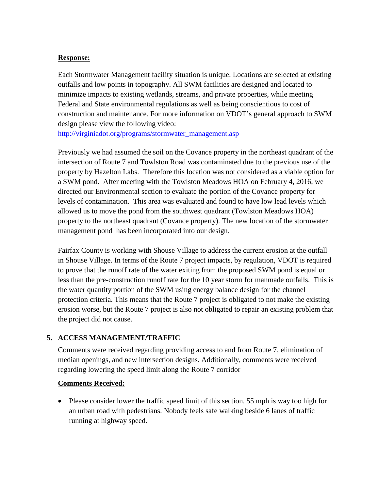Each Stormwater Management facility situation is unique. Locations are selected at existing outfalls and low points in topography. All SWM facilities are designed and located to minimize impacts to existing wetlands, streams, and private properties, while meeting Federal and State environmental regulations as well as being conscientious to cost of construction and maintenance. For more information on VDOT's general approach to SWM design please view the following video:

[http://virginiadot.org/programs/stormwater\\_management.asp](http://virginiadot.org/programs/stormwater_management.asp)

Previously we had assumed the soil on the Covance property in the northeast quadrant of the intersection of Route 7 and Towlston Road was contaminated due to the previous use of the property by Hazelton Labs. Therefore this location was not considered as a viable option for a SWM pond. After meeting with the Towlston Meadows HOA on February 4, 2016, we directed our Environmental section to evaluate the portion of the Covance property for levels of contamination. This area was evaluated and found to have low lead levels which allowed us to move the pond from the southwest quadrant (Towlston Meadows HOA) property to the northeast quadrant (Covance property). The new location of the stormwater management pond has been incorporated into our design.

Fairfax County is working with Shouse Village to address the current erosion at the outfall in Shouse Village. In terms of the Route 7 project impacts, by regulation, VDOT is required to prove that the runoff rate of the water exiting from the proposed SWM pond is equal or less than the pre-construction runoff rate for the 10 year storm for manmade outfalls. This is the water quantity portion of the SWM using energy balance design for the channel protection criteria. This means that the Route 7 project is obligated to not make the existing erosion worse, but the Route 7 project is also not obligated to repair an existing problem that the project did not cause.

# **5. ACCESS MANAGEMENT/TRAFFIC**

Comments were received regarding providing access to and from Route 7, elimination of median openings, and new intersection designs. Additionally, comments were received regarding lowering the speed limit along the Route 7 corridor

# **Comments Received:**

• Please consider lower the traffic speed limit of this section. 55 mph is way too high for an urban road with pedestrians. Nobody feels safe walking beside 6 lanes of traffic running at highway speed.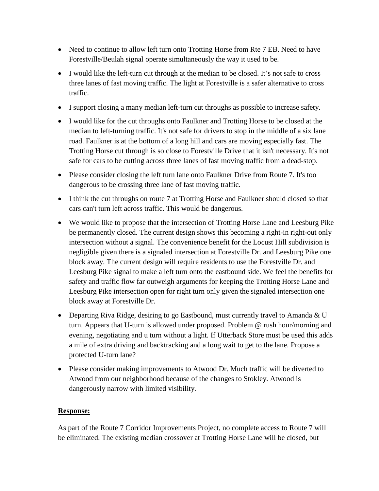- Need to continue to allow left turn onto Trotting Horse from Rte 7 EB. Need to have Forestville/Beulah signal operate simultaneously the way it used to be.
- I would like the left-turn cut through at the median to be closed. It's not safe to cross three lanes of fast moving traffic. The light at Forestville is a safer alternative to cross traffic.
- I support closing a many median left-turn cut throughs as possible to increase safety.
- I would like for the cut throughs onto Faulkner and Trotting Horse to be closed at the median to left-turning traffic. It's not safe for drivers to stop in the middle of a six lane road. Faulkner is at the bottom of a long hill and cars are moving especially fast. The Trotting Horse cut through is so close to Forestville Drive that it isn't necessary. It's not safe for cars to be cutting across three lanes of fast moving traffic from a dead-stop.
- Please consider closing the left turn lane onto Faulkner Drive from Route 7. It's too dangerous to be crossing three lane of fast moving traffic.
- I think the cut throughs on route 7 at Trotting Horse and Faulkner should closed so that cars can't turn left across traffic. This would be dangerous.
- We would like to propose that the intersection of Trotting Horse Lane and Leesburg Pike be permanently closed. The current design shows this becoming a right-in right-out only intersection without a signal. The convenience benefit for the Locust Hill subdivision is negligible given there is a signaled intersection at Forestville Dr. and Leesburg Pike one block away. The current design will require residents to use the Forestville Dr. and Leesburg Pike signal to make a left turn onto the eastbound side. We feel the benefits for safety and traffic flow far outweigh arguments for keeping the Trotting Horse Lane and Leesburg Pike intersection open for right turn only given the signaled intersection one block away at Forestville Dr.
- Departing Riva Ridge, desiring to go Eastbound, must currently travel to Amanda  $&U$ turn. Appears that U-turn is allowed under proposed. Problem @ rush hour/morning and evening, negotiating and u turn without a light. If Utterback Store must be used this adds a mile of extra driving and backtracking and a long wait to get to the lane. Propose a protected U-turn lane?
- Please consider making improvements to Atwood Dr. Much traffic will be diverted to Atwood from our neighborhood because of the changes to Stokley. Atwood is dangerously narrow with limited visibility.

As part of the Route 7 Corridor Improvements Project, no complete access to Route 7 will be eliminated. The existing median crossover at Trotting Horse Lane will be closed, but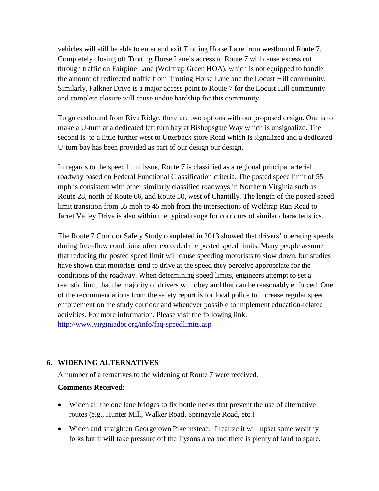vehicles will still be able to enter and exit Trotting Horse Lane from westbound Route 7. Completely closing off Trotting Horse Lane's access to Route 7 will cause excess cut through traffic on Fairpine Lane (Wolftrap Green HOA), which is not equipped to handle the amount of redirected traffic from Trotting Horse Lane and the Locust Hill community. Similarly, Falkner Drive is a major access point to Route 7 for the Locust Hill community and complete closure will cause undue hardship for this community.

To go eastbound from Riva Ridge, there are two options with our proposed design. One is to make a U-turn at a dedicated left turn bay at Bishopsgate Way which is unsignalizd. The second is to a little further west to Utterback store Road which is signalized and a dedicated U-turn bay has been provided as part of our design our design.

In regards to the speed limit issue, Route 7 is classified as a regional principal arterial roadway based on Federal Functional Classification criteria. The posted speed limit of 55 mph is consistent with other similarly classified roadways in Northern Virginia such as Route 28, north of Route 66, and Route 50, west of Chantilly. The length of the posted speed limit transition from 55 mph to 45 mph from the intersections of Wolftrap Run Road to Jarret Valley Drive is also within the typical range for corridors of similar characteristics.

The Route 7 Corridor Safety Study completed in 2013 showed that drivers' operating speeds during free–flow conditions often exceeded the posted speed limits. Many people assume that reducing the posted speed limit will cause speeding motorists to slow down, but studies have shown that motorists tend to drive at the speed they perceive appropriate for the conditions of the roadway. When determining speed limits, engineers attempt to set a realistic limit that the majority of drivers will obey and that can be reasonably enforced. One of the recommendations from the safety report is for local police to increase regular speed enforcement on the study corridor and whenever possible to implement education-related activities. For more information, Please visit the following link: <http://www.virginiadot.org/info/faq-speedlimits.asp>

# **6. WIDENING ALTERNATIVES**

A number of alternatives to the widening of Route 7 were received.

# **Comments Received:**

- Widen all the one lane bridges to fix bottle necks that prevent the use of alternative routes (e.g., Hunter Mill, Walker Road, Springvale Road, etc.)
- Widen and straighten Georgetown Pike instead. I realize it will upset some wealthy folks but it will take pressure off the Tysons area and there is plenty of land to spare.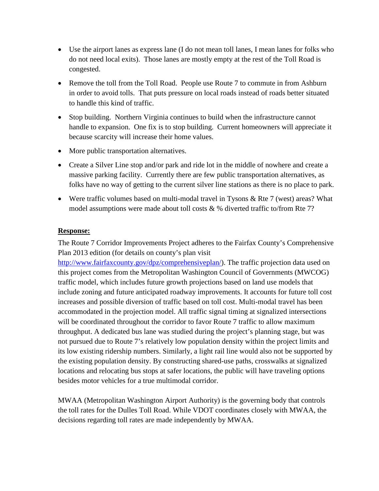- Use the airport lanes as express lane (I do not mean toll lanes, I mean lanes for folks who do not need local exits). Those lanes are mostly empty at the rest of the Toll Road is congested.
- Remove the toll from the Toll Road. People use Route 7 to commute in from Ashburn in order to avoid tolls. That puts pressure on local roads instead of roads better situated to handle this kind of traffic.
- Stop building. Northern Virginia continues to build when the infrastructure cannot handle to expansion. One fix is to stop building. Current homeowners will appreciate it because scarcity will increase their home values.
- More public transportation alternatives.
- Create a Silver Line stop and/or park and ride lot in the middle of nowhere and create a massive parking facility. Currently there are few public transportation alternatives, as folks have no way of getting to the current silver line stations as there is no place to park.
- Were traffic volumes based on multi-modal travel in Tysons & Rte 7 (west) areas? What model assumptions were made about toll costs & % diverted traffic to/from Rte 7?

The Route 7 Corridor Improvements Project adheres to the Fairfax County's Comprehensive Plan 2013 edition (for details on county's plan visit

[http://www.fairfaxcounty.gov/dpz/comprehensiveplan/\)](http://www.fairfaxcounty.gov/dpz/comprehensiveplan/). The traffic projection data used on this project comes from the Metropolitan Washington Council of Governments (MWCOG) traffic model, which includes future growth projections based on land use models that include zoning and future anticipated roadway improvements. It accounts for future toll cost increases and possible diversion of traffic based on toll cost. Multi-modal travel has been accommodated in the projection model. All traffic signal timing at signalized intersections will be coordinated throughout the corridor to favor Route 7 traffic to allow maximum throughput. A dedicated bus lane was studied during the project's planning stage, but was not pursued due to Route 7's relatively low population density within the project limits and its low existing ridership numbers. Similarly, a light rail line would also not be supported by the existing population density. By constructing shared-use paths, crosswalks at signalized locations and relocating bus stops at safer locations, the public will have traveling options besides motor vehicles for a true multimodal corridor.

MWAA (Metropolitan Washington Airport Authority) is the governing body that controls the toll rates for the Dulles Toll Road. While VDOT coordinates closely with MWAA, the decisions regarding toll rates are made independently by MWAA.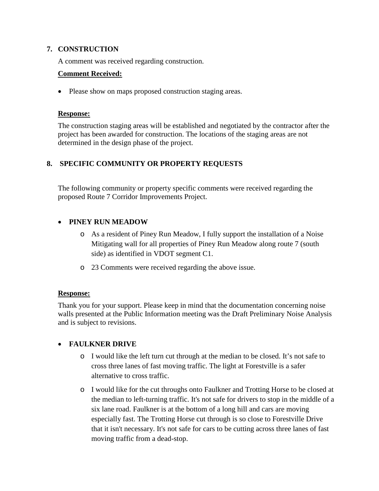#### **7. CONSTRUCTION**

A comment was received regarding construction.

#### **Comment Received:**

• Please show on maps proposed construction staging areas.

#### **Response:**

The construction staging areas will be established and negotiated by the contractor after the project has been awarded for construction. The locations of the staging areas are not determined in the design phase of the project.

# **8. SPECIFIC COMMUNITY OR PROPERTY REQUESTS**

The following community or property specific comments were received regarding the proposed Route 7 Corridor Improvements Project.

# • **PINEY RUN MEADOW**

- o As a resident of Piney Run Meadow, I fully support the installation of a Noise Mitigating wall for all properties of Piney Run Meadow along route 7 (south side) as identified in VDOT segment C1.
- o 23 Comments were received regarding the above issue.

# **Response:**

Thank you for your support. Please keep in mind that the documentation concerning noise walls presented at the Public Information meeting was the Draft Preliminary Noise Analysis and is subject to revisions.

# • **FAULKNER DRIVE**

- o I would like the left turn cut through at the median to be closed. It's not safe to cross three lanes of fast moving traffic. The light at Forestville is a safer alternative to cross traffic.
- o I would like for the cut throughs onto Faulkner and Trotting Horse to be closed at the median to left-turning traffic. It's not safe for drivers to stop in the middle of a six lane road. Faulkner is at the bottom of a long hill and cars are moving especially fast. The Trotting Horse cut through is so close to Forestville Drive that it isn't necessary. It's not safe for cars to be cutting across three lanes of fast moving traffic from a dead-stop.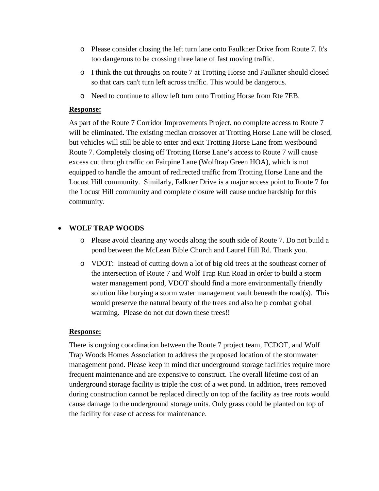- o Please consider closing the left turn lane onto Faulkner Drive from Route 7. It's too dangerous to be crossing three lane of fast moving traffic.
- o I think the cut throughs on route 7 at Trotting Horse and Faulkner should closed so that cars can't turn left across traffic. This would be dangerous.
- o Need to continue to allow left turn onto Trotting Horse from Rte 7EB.

As part of the Route 7 Corridor Improvements Project, no complete access to Route 7 will be eliminated. The existing median crossover at Trotting Horse Lane will be closed, but vehicles will still be able to enter and exit Trotting Horse Lane from westbound Route 7. Completely closing off Trotting Horse Lane's access to Route 7 will cause excess cut through traffic on Fairpine Lane (Wolftrap Green HOA), which is not equipped to handle the amount of redirected traffic from Trotting Horse Lane and the Locust Hill community. Similarly, Falkner Drive is a major access point to Route 7 for the Locust Hill community and complete closure will cause undue hardship for this community.

# • **WOLF TRAP WOODS**

- o Please avoid clearing any woods along the south side of Route 7. Do not build a pond between the McLean Bible Church and Laurel Hill Rd. Thank you.
- o VDOT: Instead of cutting down a lot of big old trees at the southeast corner of the intersection of Route 7 and Wolf Trap Run Road in order to build a storm water management pond, VDOT should find a more environmentally friendly solution like burying a storm water management vault beneath the road(s). This would preserve the natural beauty of the trees and also help combat global warming. Please do not cut down these trees!!

#### **Response:**

There is ongoing coordination between the Route 7 project team, FCDOT, and Wolf Trap Woods Homes Association to address the proposed location of the stormwater management pond. Please keep in mind that underground storage facilities require more frequent maintenance and are expensive to construct. The overall lifetime cost of an underground storage facility is triple the cost of a wet pond. In addition, trees removed during construction cannot be replaced directly on top of the facility as tree roots would cause damage to the underground storage units. Only grass could be planted on top of the facility for ease of access for maintenance.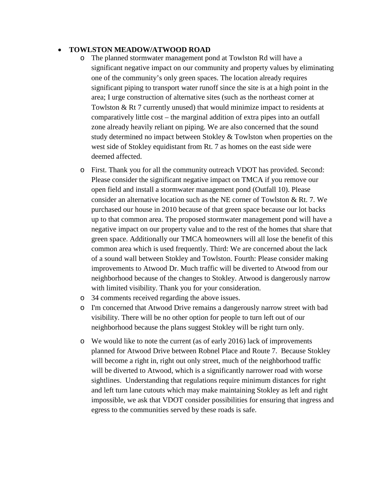#### • **TOWLSTON MEADOW/ATWOOD ROAD**

- o The planned stormwater management pond at Towlston Rd will have a significant negative impact on our community and property values by eliminating one of the community's only green spaces. The location already requires significant piping to transport water runoff since the site is at a high point in the area; I urge construction of alternative sites (such as the northeast corner at Towlston & Rt 7 currently unused) that would minimize impact to residents at comparatively little cost – the marginal addition of extra pipes into an outfall zone already heavily reliant on piping. We are also concerned that the sound study determined no impact between Stokley & Towlston when properties on the west side of Stokley equidistant from Rt. 7 as homes on the east side were deemed affected.
- o First. Thank you for all the community outreach VDOT has provided. Second: Please consider the significant negative impact on TMCA if you remove our open field and install a stormwater management pond (Outfall 10). Please consider an alternative location such as the NE corner of Towlston & Rt. 7. We purchased our house in 2010 because of that green space because our lot backs up to that common area. The proposed stormwater management pond will have a negative impact on our property value and to the rest of the homes that share that green space. Additionally our TMCA homeowners will all lose the benefit of this common area which is used frequently. Third: We are concerned about the lack of a sound wall between Stokley and Towlston. Fourth: Please consider making improvements to Atwood Dr. Much traffic will be diverted to Atwood from our neighborhood because of the changes to Stokley. Atwood is dangerously narrow with limited visibility. Thank you for your consideration.
- o 34 comments received regarding the above issues.
- o I'm concerned that Atwood Drive remains a dangerously narrow street with bad visibility. There will be no other option for people to turn left out of our neighborhood because the plans suggest Stokley will be right turn only.
- o We would like to note the current (as of early 2016) lack of improvements planned for Atwood Drive between Robnel Place and Route 7. Because Stokley will become a right in, right out only street, much of the neighborhood traffic will be diverted to Atwood, which is a significantly narrower road with worse sightlines. Understanding that regulations require minimum distances for right and left turn lane cutouts which may make maintaining Stokley as left and right impossible, we ask that VDOT consider possibilities for ensuring that ingress and egress to the communities served by these roads is safe.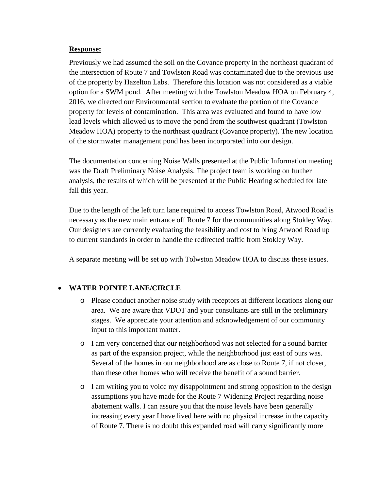Previously we had assumed the soil on the Covance property in the northeast quadrant of the intersection of Route 7 and Towlston Road was contaminated due to the previous use of the property by Hazelton Labs. Therefore this location was not considered as a viable option for a SWM pond. After meeting with the Towlston Meadow HOA on February 4, 2016, we directed our Environmental section to evaluate the portion of the Covance property for levels of contamination. This area was evaluated and found to have low lead levels which allowed us to move the pond from the southwest quadrant (Towlston Meadow HOA) property to the northeast quadrant (Covance property). The new location of the stormwater management pond has been incorporated into our design.

The documentation concerning Noise Walls presented at the Public Information meeting was the Draft Preliminary Noise Analysis. The project team is working on further analysis, the results of which will be presented at the Public Hearing scheduled for late fall this year.

Due to the length of the left turn lane required to access Towlston Road, Atwood Road is necessary as the new main entrance off Route 7 for the communities along Stokley Way. Our designers are currently evaluating the feasibility and cost to bring Atwood Road up to current standards in order to handle the redirected traffic from Stokley Way.

A separate meeting will be set up with Tolwston Meadow HOA to discuss these issues.

# • **WATER POINTE LANE/CIRCLE**

- o Please conduct another noise study with receptors at different locations along our area. We are aware that VDOT and your consultants are still in the preliminary stages. We appreciate your attention and acknowledgement of our community input to this important matter.
- o I am very concerned that our neighborhood was not selected for a sound barrier as part of the expansion project, while the neighborhood just east of ours was. Several of the homes in our neighborhood are as close to Route 7, if not closer, than these other homes who will receive the benefit of a sound barrier.
- o I am writing you to voice my disappointment and strong opposition to the design assumptions you have made for the Route 7 Widening Project regarding noise abatement walls. I can assure you that the noise levels have been generally increasing every year I have lived here with no physical increase in the capacity of Route 7. There is no doubt this expanded road will carry significantly more